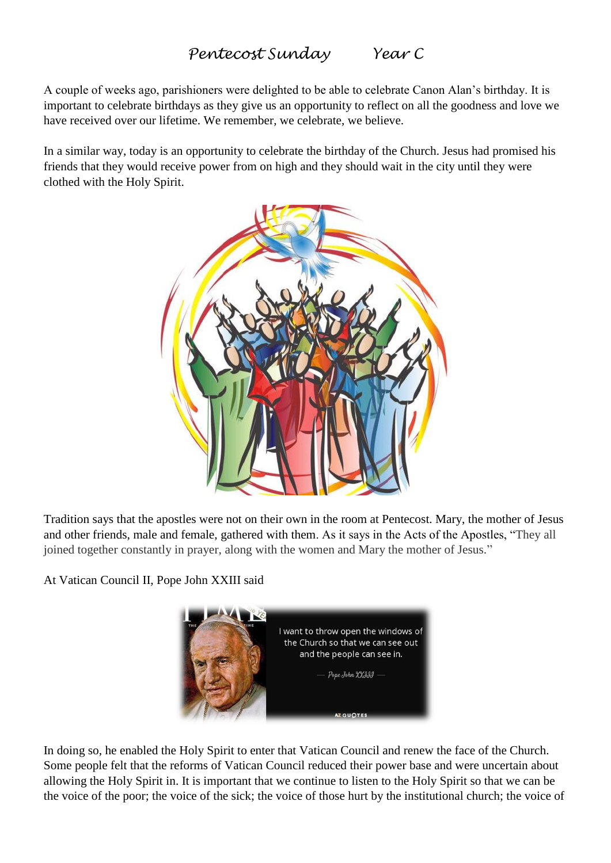## *Pentecost Sunday Year C*

A couple of weeks ago, parishioners were delighted to be able to celebrate Canon Alan's birthday. It is important to celebrate birthdays as they give us an opportunity to reflect on all the goodness and love we have received over our lifetime. We remember, we celebrate, we believe.

In a similar way, today is an opportunity to celebrate the birthday of the Church. Jesus had promised his friends that they would receive power from on high and they should wait in the city until they were clothed with the Holy Spirit.



Tradition says that the apostles were not on their own in the room at Pentecost. Mary, the mother of Jesus and other friends, male and female, gathered with them. As it says in the Acts of the Apostles, "They all joined together constantly in prayer, along with the women and Mary the mother of Jesus."

At Vatican Council II, Pope John XXIII said



In doing so, he enabled the Holy Spirit to enter that Vatican Council and renew the face of the Church. Some people felt that the reforms of Vatican Council reduced their power base and were uncertain about allowing the Holy Spirit in. It is important that we continue to listen to the Holy Spirit so that we can be the voice of the poor; the voice of the sick; the voice of those hurt by the institutional church; the voice of